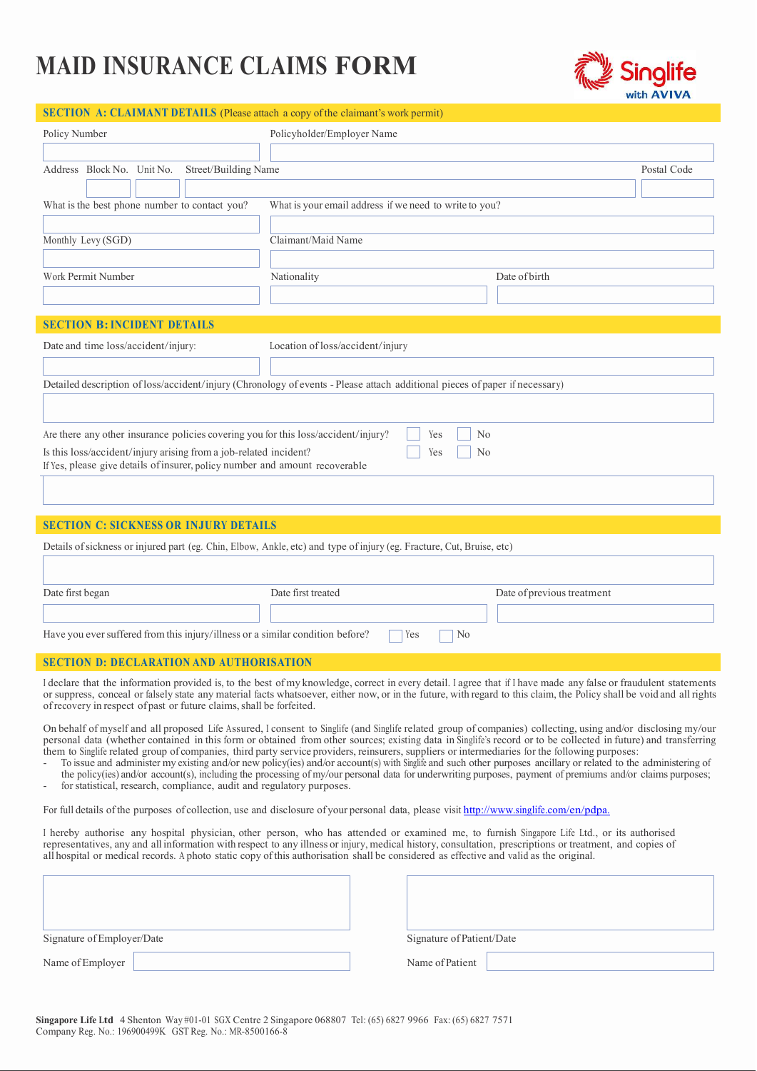## MAID INSURANCE CLAIMS FORM



|--|

| Policy Number                                                                                                                                                                                                                           | Policyholder/Employer Name                                                                                                                                       |                            |             |  |  |
|-----------------------------------------------------------------------------------------------------------------------------------------------------------------------------------------------------------------------------------------|------------------------------------------------------------------------------------------------------------------------------------------------------------------|----------------------------|-------------|--|--|
| Address Block No. Unit No.<br>Street/Building Name                                                                                                                                                                                      |                                                                                                                                                                  |                            | Postal Code |  |  |
| What is the best phone number to contact you?                                                                                                                                                                                           | What is your email address if we need to write to you?                                                                                                           |                            |             |  |  |
| Monthly Levy (SGD)                                                                                                                                                                                                                      | Claimant/Maid Name                                                                                                                                               |                            |             |  |  |
| Work Permit Number                                                                                                                                                                                                                      | Nationality                                                                                                                                                      | Date of birth              |             |  |  |
| <b>SECTION B: INCIDENT DETAILS</b>                                                                                                                                                                                                      |                                                                                                                                                                  |                            |             |  |  |
| Date and time loss/accident/injury:                                                                                                                                                                                                     | Location of loss/accident/injury                                                                                                                                 |                            |             |  |  |
|                                                                                                                                                                                                                                         | Detailed description of loss/accident/injury (Chronology of events - Please attach additional pieces of paper if necessary)                                      |                            |             |  |  |
| Are there any other insurance policies covering you for this loss/accident/injury?<br>Is this loss/accident/injury arising from a job-related incident?<br>If Yes, please give details of insurer, policy number and amount recoverable | No<br>Yes<br>No<br>Yes                                                                                                                                           |                            |             |  |  |
| <b>SECTION C: SICKNESS OR INJURY DETAILS</b>                                                                                                                                                                                            |                                                                                                                                                                  |                            |             |  |  |
|                                                                                                                                                                                                                                         | Details of sickness or injured part (eg. Chin, Elbow, Ankle, etc) and type of injury (eg. Fracture, Cut, Bruise, etc)                                            |                            |             |  |  |
| Date first began                                                                                                                                                                                                                        | Date first treated                                                                                                                                               | Date of previous treatment |             |  |  |
| Have you ever suffered from this injury/illness or a similar condition before?                                                                                                                                                          | No<br>Yes                                                                                                                                                        |                            |             |  |  |
| <b>SECTION D: DECLARATION AND AUTHORISATION</b>                                                                                                                                                                                         |                                                                                                                                                                  |                            |             |  |  |
|                                                                                                                                                                                                                                         | I declare that the information provided is, to the best of my knowledge, correct in every detail. I agree that if I have made any false or fraudulent statements |                            |             |  |  |

or suppress, conceal or falsely state any material facts whatsoever, either now, or in the future, with regard to this claim, the Policy shall be void and all rights of recovery in respect of past or future claims, shall be forfeited.

On behalf of myself and all proposed Life Assured, <sup>I</sup>consent to Singlife (and Singlife related group of companies) collecting, using and/or disclosing my/our personal data (whether contained in this form or obtained from other sources; existing data in Singlife's record or to be collected in future) and transferring them to Singlife related group of companies, third party service providers, reinsurers, suppliers or intermediaries for the following purposes:

- To issue and administer my existing and/or new policy(ies) and/or account(s) with Singlife and such other purposes ancillary or related to the administering of the policy(ies) and/or account(s), including the processing of my/our personal data for underwriting purposes, payment of premiums and/or claims purposes;
- for statistical, research, compliance, audit and regulatory purposes.

For full details of the purposes of collection, use and disclosure of your personal data, please visit http://www.singlife.com/en/pdpa.

I hereby authorise any hospital physician, other person, who has attended or examined me, to furnish Singapore Life Ltd., or its authorised representatives, any and all information with respect to any illness or injury, me all hospital or medical records. A photo static copy of this authorisation shall be considered as effective and valid as the original.

| Signature of Employer/Date | Signature of Patient/Date |
|----------------------------|---------------------------|
| Name of Employer           | Name of Patient           |